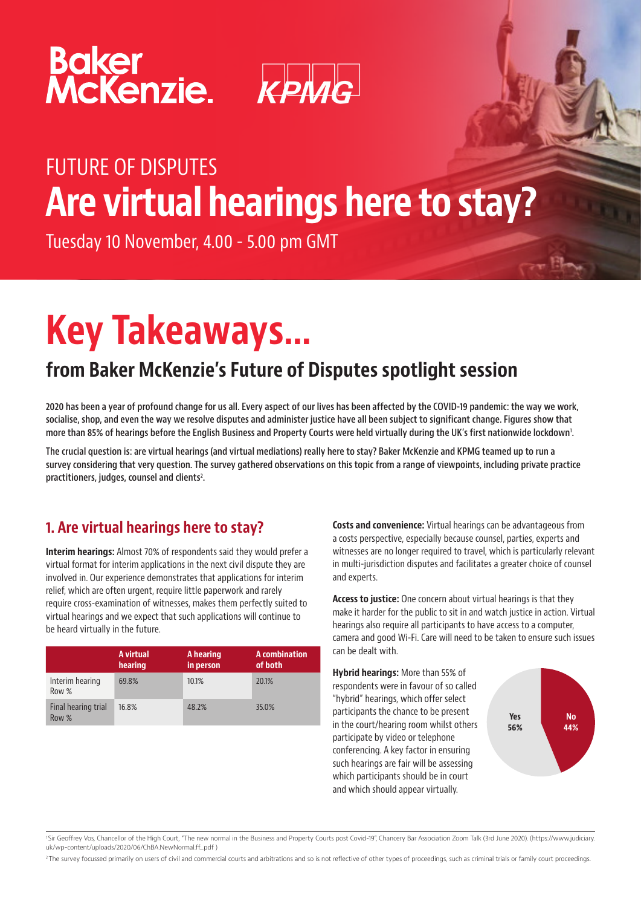



## FUTURE OF DISPUTES Are virtual hearings here to stay?

Tuesday 10 November, 4.00 - 5.00 pm GMT

# Key Takeaways…

### from Baker McKenzie's Future of Disputes spotlight session

2020 has been a year of profound change for us all. Every aspect of our lives has been affected by the COVID-19 pandemic: the way we work, socialise, shop, and even the way we resolve disputes and administer justice have all been subject to significant change. Figures show that more than 85% of hearings before the English Business and Property Courts were held virtually during the UK's first nationwide lockdown'.

The crucial question is: are virtual hearings (and virtual mediations) really here to stay? Baker McKenzie and KPMG teamed up to run a survey considering that very question. The survey gathered observations on this topic from a range of viewpoints, including private practice practitioners, judges, counsel and clients<sup>2</sup>.

#### 1. Are virtual hearings here to stay?

Interim hearings: Almost 70% of respondents said they would prefer a virtual format for interim applications in the next civil dispute they are involved in. Our experience demonstrates that applications for interim relief, which are often urgent, require little paperwork and rarely require cross-examination of witnesses, makes them perfectly suited to virtual hearings and we expect that such applications will continue to be heard virtually in the future.

|                              | A virtual<br>hearing | A hearing<br>in person | A combination<br>of both |
|------------------------------|----------------------|------------------------|--------------------------|
| Interim hearing<br>Row %     | 69.8%                | 10.1%                  | 20.1%                    |
| Final hearing trial<br>Row % | 16.8%                | 48.2%                  | 35.0%                    |

Costs and convenience: Virtual hearings can be advantageous from a costs perspective, especially because counsel, parties, experts and witnesses are no longer required to travel, which is particularly relevant in multi-jurisdiction disputes and facilitates a greater choice of counsel and experts.

Access to justice: One concern about virtual hearings is that they make it harder for the public to sit in and watch justice in action. Virtual hearings also require all participants to have access to a computer, camera and good Wi-Fi. Care will need to be taken to ensure such issues can be dealt with.

Hybrid hearings: More than 55% of respondents were in favour of so called "hybrid" hearings, which offer select participants the chance to be present in the court/hearing room whilst others participate by video or telephone conferencing. A key factor in ensuring such hearings are fair will be assessing which participants should be in court and which should appear virtually.



1 Sir Geoffrey Vos, Chancellor of the High Court, "The new normal in the Business and Property Courts post Covid-19", Chancery Bar Association Zoom Talk (3rd June 2020). (https://www.judiciary. uk/wp-content/uploads/2020/06/ChBA.NewNormal.ff .pdf )

<sup>2</sup> The survey focussed primarily on users of civil and commercial courts and arbitrations and so is not reflective of other types of proceedings, such as criminal trials or family court proceedings.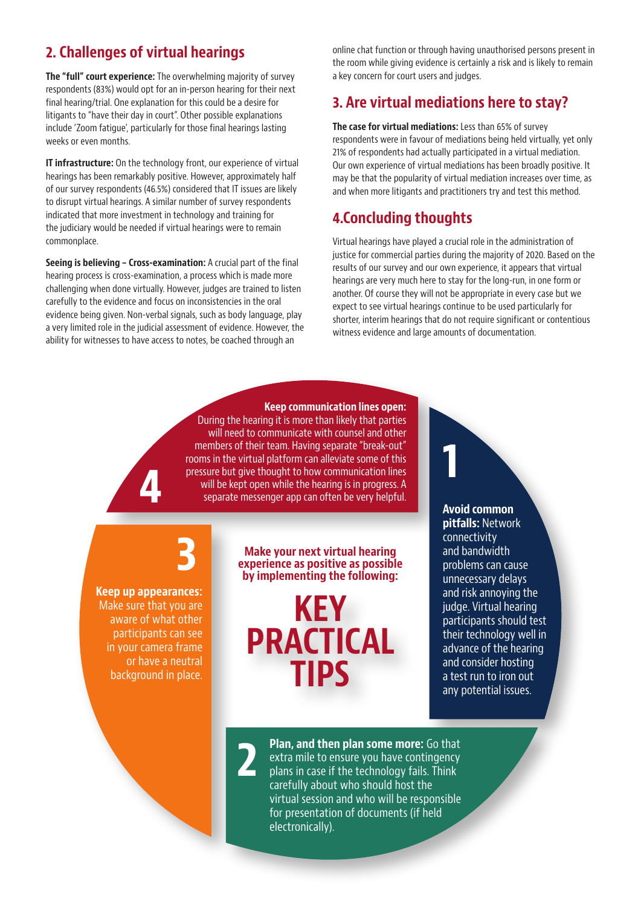#### 2. Challenges of virtual hearings

The "full" court experience: The overwhelming majority of survey respondents (83%) would opt for an in-person hearing for their next final hearing/trial. One explanation for this could be a desire for litigants to "have their day in court". Other possible explanations include 'Zoom fatigue', particularly for those final hearings lasting weeks or even months.

**IT infrastructure:** On the technology front, our experience of virtual hearings has been remarkably positive. However, approximately half of our survey respondents (46.5%) considered that IT issues are likely to disrupt virtual hearings. A similar number of survey respondents indicated that more investment in technology and training for the judiciary would be needed if virtual hearings were to remain commonplace.

Seeing is believing – Cross-examination: A crucial part of the final hearing process is cross-examination, a process which is made more challenging when done virtually. However, judges are trained to listen carefully to the evidence and focus on inconsistencies in the oral evidence being given. Non-verbal signals, such as body language, play a very limited role in the judicial assessment of evidence. However, the ability for witnesses to have access to notes, be coached through an

online chat function or through having unauthorised persons present in the room while giving evidence is certainly a risk and is likely to remain a key concern for court users and judges.

#### 3. Are virtual mediations here to stay?

The case for virtual mediations: Less than 65% of survey respondents were in favour of mediations being held virtually, yet only 21% of respondents had actually participated in a virtual mediation. Our own experience of virtual mediations has been broadly positive. It may be that the popularity of virtual mediation increases over time, as and when more litigants and practitioners try and test this method.

#### 4.Concluding thoughts

Virtual hearings have played a crucial role in the administration of justice for commercial parties during the majority of 2020. Based on the results of our survey and our own experience, it appears that virtual hearings are very much here to stay for the long-run, in one form or another. Of course they will not be appropriate in every case but we expect to see virtual hearings continue to be used particularly for shorter, interim hearings that do not require significant or contentious witness evidence and large amounts of documentation.

1

Keep communication lines open: During the hearing it is more than likely that parties will need to communicate with counsel and other members of their team. Having separate "break-out" rooms in the virtual platform can alleviate some of this pressure but give thought to how communication lines will be kept open while the hearing is in progress. A separate messenger app can often be very helpful.

3

Keep up appearances: Make sure that you are aware of what other participants can see in your camera frame or have a neutral background in place.

4

Make your next virtual hearing experience as positive as possible by implementing the following:

KEY PRACTICAL TIPS

Avoid common pitfalls: Network connectivity and bandwidth problems can cause unnecessary delays and risk annoying the judge. Virtual hearing participants should test their technology well in advance of the hearing and consider hosting a test run to iron out any potential issues.

2

Plan, and then plan some more: Go that extra mile to ensure you have contingency plans in case if the technology fails. Think carefully about who should host the virtual session and who will be responsible for presentation of documents (if held electronically).